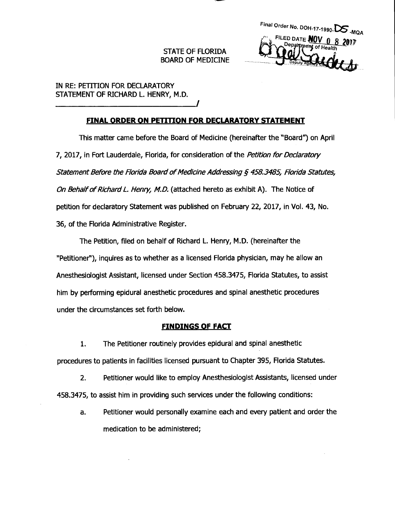**STATE OF FLORIDA BOARD OF MEDICINE**  **Final Order No. DOH-17-1990-DS -MQA FILED DATE NOV 0 8** 

**IN RE: PETITION FOR DECLARATORY STATEMENT OF RICHARD L. HENRY, M.D.** 

# **FINAL ORDER ON PETITION FOR DECLARATORY STATEMENT**

**This matter came before the Board of Medicine (hereinafter the "Board") on April 7, 2017, in Fort Lauderdale, Florida, for consideration of the Petition for Declaratory Statement Before the Florida Board of Medicine Addressing § 458.3485, Florida Statutes, On Behalf of Richard L. Henry, M.D. (attached hereto as exhibit A). The Notice of petition for declaratory Statement was published on February 22, 2017, in Vol. 43, No. 36, of the Florida Administrative Register.** 

**The Petition, filed on behalf of Richard L. Henry, M.D. (hereinafter the "Petitioner"), inquires as to whether as a licensed Florida physician, may he allow an Anesthesiologist Assistant, licensed under Section 458.3475, Florida Statutes, to assist him by performing epidural anesthetic procedures and spinal anesthetic procedures under the circumstances set forth below.** 

## **FINDINGS OF FACT**

**1. The Petitioner routinely provides epidural and spinal anesthetic procedures to patients in facilities licensed pursuant to Chapter 395, Florida Statutes.** 

**2. Petitioner would like to employ Anesthesiologist Assistants, licensed under 458.3475, to assist him in providing such services under the following conditions:** 

**a. Petitioner would personally examine each and every patient and order the medication to be administered;**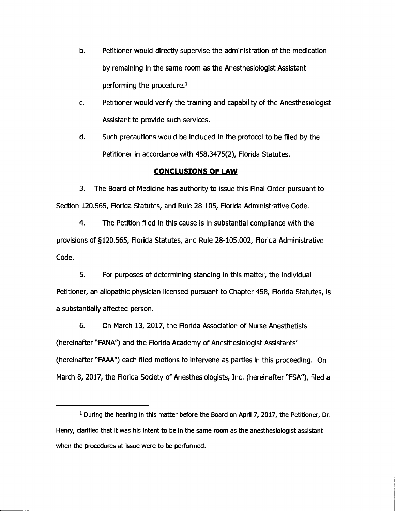- **b. Petitioner would directly supervise the administration of the medication by remaining in the same room as the Anesthesiologist Assistant performing the procedure.1**
- **c. Petitioner would verify the training and capability of the Anesthesiologist Assistant to provide such services.**

**d. Such precautions would be included in the protocol to be filed by the Petitioner in accordance with 458.3475(2), Florida Statutes.** 

## **CONCLUSIONS OF LAW**

**3. The Board of Medicine has authority to issue this Final Order pursuant to Section 120.565, Florida Statutes, and Rule 28-105, Florida Administrative Code.** 

**4. The Petition filed in this cause is in substantial compliance with the provisions of §120.565, Florida Statutes, and Rule 28-105.002, Florida Administrative Code.** 

**5. For purposes of determining standing in this matter, the individual Petitioner, an allopathic physician licensed pursuant to Chapter 458, Florida Statutes, is a substantially affected person.** 

**6. On March 13, 2017, the Florida Association of Nurse Anesthetists (hereinafter "FANA") and the Florida Academy of Anesthesiologist Assistants' (hereinafter "FAAA") each filed motions to intervene as parties in this proceeding. On March 8, 2017, the Florida Society of Anesthesiologists, Inc. (hereinafter "FSA"), filed a** 

**<sup>1</sup> During the hearing in this matter before the Board on April 7, 2017, the Petitioner, Dr. Henry, clarified that it was his intent to be in the same room as the anesthesiologist assistant when the procedures at issue were to be performed.**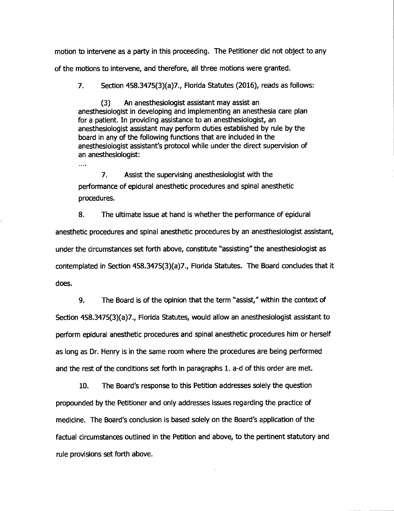**motion to intervene as a party in this proceeding. The Petitioner did not object to any of the motions to intervene, and therefore, all three motions were granted.** 

**7. Section 458.3475(3)(a)7., Florida Statutes (2016), reads as follows:** 

**(3) An anesthesiologist assistant may assist an anesthesiologist in developing and implementing an anesthesia care plan for a patient. In providing assistance to an anesthesiologist, an anesthesiologist assistant may perform duties established by rule by the board in any of the following functions that are included in the anesthesiologist assistant's protocol while under the direct supervision of an anesthesiologist:** 

 $\cdots$ 

**7. Assist the supervising anesthesiologist with the performance of epidural anesthetic procedures and spinal anesthetic procedures.** 

**8. The ultimate issue at hand is whether the performance of epidural anesthetic procedures and spinal anesthetic procedures by an anesthesiologist assistant, under the circumstances set forth above, constitute "assisting" the anesthesiologist as contemplated in Section 458.3475(3)(a)7., Florida Statutes. The Board concludes that it does.** 

**9. The Board is of the opinion that the term "assist," within the context of Section 458.3475(3)(a)7., Florida Statutes, would allow an anesthesiologist assistant to perform epidural anesthetic procedures and spinal anesthetic procedures him or herself as long as Dr. Henry is in the same room where the procedures are being performed and the rest of the conditions set forth in paragraphs 1. a-d of this order are met.** 

**10. The Board's response to this Petition addresses solely the question propounded by the Petitioner and only addresses issues regarding the practice of medicine. The Board's conclusion is based solely on the Board's application of the factual circumstances outlined in the Petition and above, to the pertinent statutory and rule provisions set forth above.**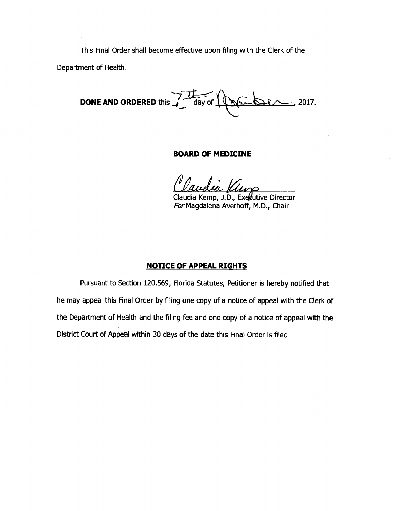This Final Order shall become effective upon filing with the Clerk of the

Department of Health.

**DONE AND ORDERED** this  $\frac{1}{4}$  day of  $\sqrt{\sqrt{2\pi}}$  2017.

### **BOARD OF MEDICINE**

Claudia Kemp, J.D., Exedutive Director For Magdalena Averhoff, M.D., Chair

## **NOTICE OF APPEAL RIGHTS**

Pursuant to Section 120.569, Florida Statutes, Petitioner is hereby notified that he may appeal this Final Order by filing one copy of a notice of appeal with the Clerk of the Department of Health and the filing fee and one copy of a notice of appeal with the District Court of Appeal within 30 days of the date this Final Order is filed.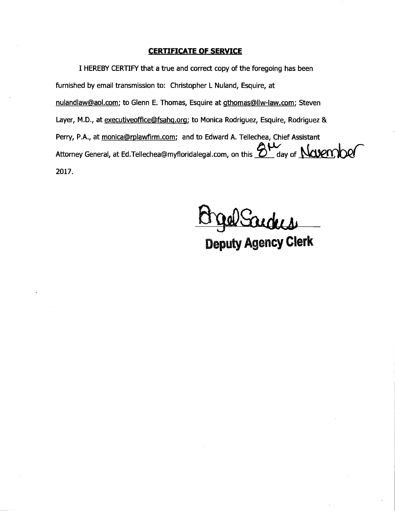## **CERTIFICATE OF SERVICE**

**I HEREBY CERTIFY that a true and correct copy of the foregoing has been furnished by email transmission to: Christopher L Nuland, Esquire, at nulandlaw©aol.com; to Glenn E. Thomas, Esquire at qthomas(allw-law.com; Steven**  Layer, M.D., at executiveoffice@fsahq.org; to Monica Rodriguez, Esquire, Rodriguez & Perry, P.A., at *monica@rplawfirm.com;* and to Edward A. Tellechea, Chief Assistant Attorney General, at Ed.Tellechea@myfloridalegal.com, on this **8W** day of **Navemper 2017.** 

Wanders

**Deputy Agency Clerk**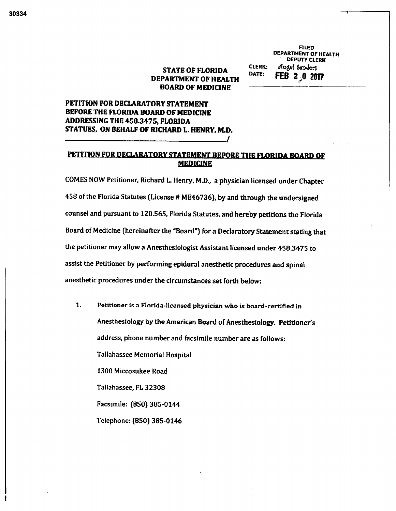# **STATE OF FLORIDA DEPARTMENT OF HEALTH BOARD OF MEDICINE**

**CLERK: FILED DEPARTMENT OF HEALTH DEPUTY CLERK Angel Sunders FEB 2 0 2017** 

**DATE:** 

# **PETITION FOR DECLARATORY STATEMENT BEFORE THE FLORIDA BOARD OF MEDICINE ADDRESSING THE 458.3475, FLORIDA STATUES, ON BEHALF OF RICHARD L. HENRY, M.D.**

# **PETITION FOR DECLARATORY STATEMENT BEFORE THE FLORIDA BOARD OF MEDICINE**

**COMES NOW Petitioner, Richard L Henry, M.D., a physician licensed under Chapter 458 of the Florida Statutes (License # ME46736), by and through the undersigned counsel and pursuant to 120.565, Florida Statutes, and hereby petitions the Florida Board of Medicine (hereinafter the "Board") for a Declaratory Statement stating that the petitioner may allow a Anesthesiologist Assistant licensed under 458.3475 to assist the Petitioner by performing epidural anesthetic procedures and spinal anesthetic procedures under the circumstances set forth below:** 

**1. Petitioner is a Florida-licensed physician who is board-certified in Anesthesiology by the American Board of Anesthesiology. Petitioner's address, phone number and facsimile number are as follows: Tallahassee Memorial Hospital 1300 Miccosukee Road Tallahassee, FL 32308 Facsimile: (850) 385-0144 Telephone: (850) 385-0146**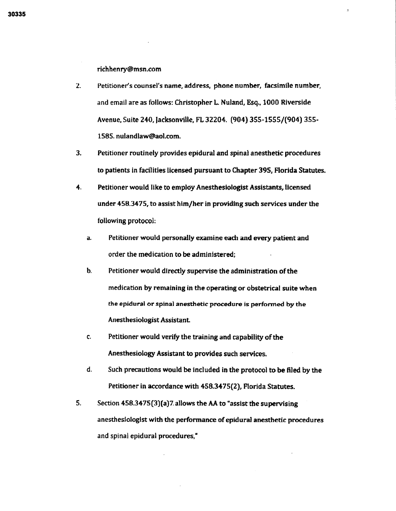**richhenry@msn.com** 

- **2. Petitioner's counsel's name, address, phone number, facsimile number, and email are as follows: Christopher L Nuland, Esq, 1000 Riverside Avenue, Suite 240, Jacksonville, FL 32204. (904) 355-1555/(904) 355- 1585. nulandlaw@aol.com.**
- **3. Petitioner routinely provides epidural and spinal anesthetic procedures to patients in facilities licensed pursuant to Chapter 395, Florida Statutes.**
- **4. Petitioner would like to employ Anesthesiologist Assistants, licensed under 458.3475, to assist him/her in providing such services under the following protocol;** 
	- **a. Petitioner would personally examine each and every patient and order the medication to be administered;**
	- **b. Petitioner would directly supervise the administration of the medication by remaining in the operating or obstetrical suite when the epidural or spinal anesthetic procedure is performed by the Anesthesiologist Assistant**
	- **c. Petitioner would verify the training and capability of the Anesthesiology Assistant to provides such services.**
	- **d. Such precautions would be included in the protocol to be filed by the Petitioner in accordance with 458.3475(2), Florida Statutes.**
- **5. Section 458.3475(3)(a)7 allows the AA to "assist the supervising anesthesiologist with the performance of epidural anesthetic procedures and spinal epidural procedures,"**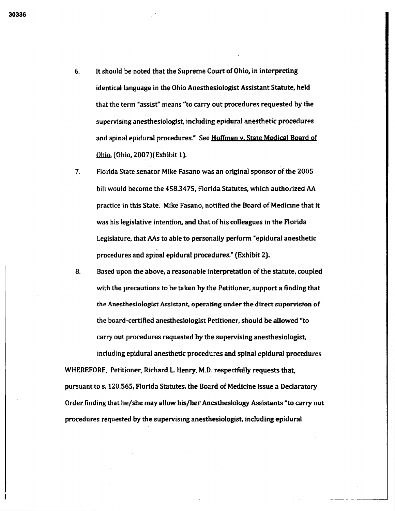- **6. it should be noted that the Supreme Court of Ohio, in interpreting identical language in the Ohio Anesthesiologist Assistant Statute, held that the term "assist" means "to carry out procedures requested by the supervising anesthesiologist, including epidural anesthetic procedures and spinal epidural procedures." See Hoffman v. State Medical Board of**  Ohio, **(Ohio, 2007)(Exhibit 1).**
- **7. Florida State senator Mike Fasano was an original sponsor of the 2005 bill would become the 458.3475, Florida Statutes, which authorized AA practice in this State. Mike Fasano, notified the Board of Medicine that it was his legislative intention, and that of his colleagues in the Florida Legislature, that AAs to able to personally perform "epidural anesthetic procedures and spinal epidural procedures." (Exhibit 2).**

**8. Based upon the above, a reasonable interpretation of the statute, coupled with the precautions to be taken by the Petitioner, support a finding that the Anesthesiologist Assistant, operating under the direct supervision of the board-certified anesthesiologist Petitioner, should be allowed "to carry out procedures requested by the supervising anesthesiologist, including epidural anesthetic procedures and spinal epidural procedures** 

**WHEREFORE, Petitioner, Richard L. Henry, M.D. respectfully requests that, pursuant to s. 120.565, Florida Statutes, the Board of Medicine issue a Declaratory Order finding that he/she may allow his/her Anesthesiology Assistants "to carry out procedures requested by the supervising anesthesiologist, including epidural**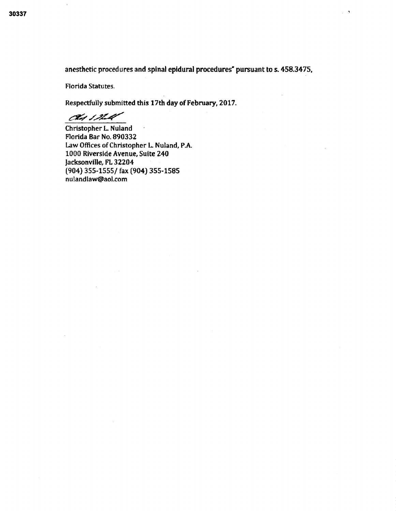**anesthetic procedures and spinal epidural procedures- pursuant to** *s.* **458.3475,** 

 $\tau_{\rm c} = 0$ 

Florida Statutes.

**Respectfully submitted this 17th day of February, 2017.** 

du ina

**Christopher L Nuland Florida Bar No.** 890332 Law Offices of Christopher L. Nuland, P.A. 1000 **Riverside Avenue, Suite 240 Jacksonville, FL 32204 (904) 355-1555/ fax (904) 355-1585 nulandlaw@aol.com**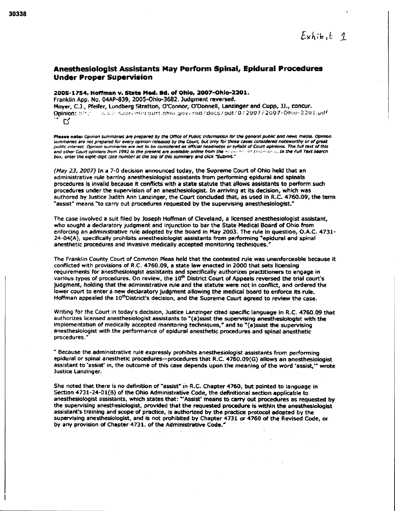## **Anesthesiologist Assistants May Perform Spinal, Epidural Procedures Under Proper Supervision**

# **2005-1754. Hoffman v. State Mod. Bd. of Ohio, 2007-Ohlo-2201.**

**Franklin App. No. 04AP-839, 2005-Ohio-3682. Judgment reversed. Moyer, C.J., Pfeifer, Lundberg Stratton, O'Connor, O'Donnell, Lanzinger and Cupp, JJ., concur. Opinion: n ' ' •** ,41.,t ' rnol ,jurt.01100.4(.iv? rod ••• chi (.4; idLit! 0 :` **2u**071 **2007- 011** 220 AAf  $\mathbf{C}'$ 

**Pleose note:** *Opinion summaries* **are** *prepared by the Office of Public Information for the general public and news media. Opinion summaries are not prepared for every opinion released by the Court: but Only for those cases considered noteworthy or of great public interest. Opinion summaries are not to be considered as official headaches or syllabi of Court opinions. The full text of this and other Court opinions from 1992 to the present are available online from the* 4., • 0' I ">. *In the Full Text search box, enter the eight-digit case number at the cop of this summary and click "Submit."* 

**(May 23, 2007) In a 7-0 decision announced today, the Supreme Court of Ohio held that an administrative rule barring anesthesiologist assistants from performing epidural and spinals procedures Is invalid because it conflicts with a state statute that allows assistants to perform such procedures under the supervision of an anesthesiologist. In arriving at its decision, which was authored by Justice Judith Ann Lanzinger, the Court concluded that, as used In R.C. 4760.09, the term "assist" means "to carry out procedures requested by the supervising anesthesiologist."** 

**The case involved a suit filed by Joseph Hoffman of Cleveland, a licensed anesthesiologist assistant, who sought a declaratory judgment and injunction to bar the State Medical Board of Ohio from enforcing an administrative rule adopted by the board in May 2003. The rule in question, O.A.C. 4731- 24-04(A), specifically prohibits anesthesiologist assistants from performing "epidural and spinal anesthetic procedures and Invasive medically accepted monitoring techniques.'** 

**The Franklin County Court of Common Pleas held that the contested rule was unenforceable because it conflicted with provisions of R.C. 4760.09, a state law enacted in 2000 that sets licensing requirements for anesthesiologist assistants and specifically authorizes practitioners to engage in**  various types of procedures. On review, the 10<sup>th</sup> District Court of Appeals reversed the trial court's **judgment, holding that the administrative rule and the statute were not in conflict, and ordered the lower court to enter a new declaratory judgment allowing the medical board to enforce its rule.**  Hoffman appealed the 10<sup>th</sup>District's decision, and the Supreme Court agreed to review the case.

**Writing far the Court in today's decision, Justice Lanzinger cited specific language in R.C. 4760.09 that authorizes licensed anesthesiologist assistants to "(a)ssist the supervising anesthesiologist with the implementation of medically accepted monitoring techniques," and to "(a)ssist the supervising anesthesiologist with the performance of epidural anesthetic procedures and spinal anesthetic procedures."** 

**" Because the administrative rule expressly prohibits anesthesiologist assistants from performing epidural or spinal anesthetic procedures—procedures that R.C. 4760.09(G) allows an anesthesiologist assistant to 'assist' In, the outcome of this case depends upon the meaning of the word 'assist,"' wrote Justice Lanzinger.** 

**She noted that there Is no definition of "assist" in R.C. Chapter 4760, but pointed to language in Section 4731-24-01(B) of the Ohio Administrative Code, the definitional section applicable to anesthesiologist assistants, which states that: "'Assist' Means to carry out procedures as requested by the supervising anesthesiologist, provided that the requested procedure is within the anesthesiologist assistant's training and scope of practice, is authorized by the practice protocol adopted by the supervising anesthesiologist, and is not prohibited by Chapter 4731 or 4760 of the Revised Code, or by any provision of Chapter 4731. of the Administrative Code."**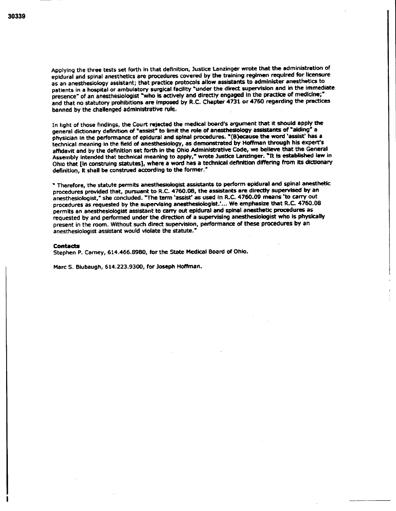**Applying the three tests set forth in that definition, Justice Lanzinger wrote that the administration of epidural and spinal anesthetics are procedures covered by the training regimen required for licensure as an anesthesiology assistant; that practice protocols allow assistants to administer anesthetics to patients in a hospital or ambulatory surgical facility "under the direct supervision and in the immediate**  presence" of an anesthesiologist "who is actively and directly engaged in the practice of medicine;" **and that no statutory prohibitions are imposed by B.C. Chapter 4731 or 4760 regarding the practices banned by the challenged administrative rule.** 

**In light of those findings, the Court rejected the medical board's argument that it should apply the general dictionary definition of "assist" to limit the role of anesthesiology assistants of \*aiding" a physician in the performance of epidural and spinal procedures. "(B)ecause the word 'assist' has a technical meaning in the field of anesthesiology, as demonstrated by Hoffman through his expert's affidavit and by the definition set forth in the Ohio Administrative Code, we believe that the General**  Assembly intended that technical meaning to apply," wrote Justice Lanzinger. "It is established law in **Ohio that [in construing statutes), where a word has a technical definition differing from its dictionary definition, it shall be construed according to the former."** 

**" Therefore, the statute permits anesthesiologist assistants to perform epidural and spinal anesthetic procedures provided that, pursuant to R.C. 4760.08, the assistants are directly supervised by an anesthesiologist," she concluded. "The term 'assist' as used in R.C. 4760.09 means 'to carry out procedures as requested by the supervising anesthesiologist.'... We emphasize that R.C. 4760.08 permits an anesthesiologist assistant to carry out epidural and spinal anesthetic procedures as requested by and performed under the direction of a supervising anesthesiologist who is physically present in the room. Without such direct supervision, performance of these procedures by an anesthesiologist assistant would violate the statute."** 

#### **Contacts**

**Stephen P. Carney, 614.466.8980, for the State Medical Board of Ohio.** 

**Marc S. Blubaugh, 614.223.9300, for Joseph Hoffman.**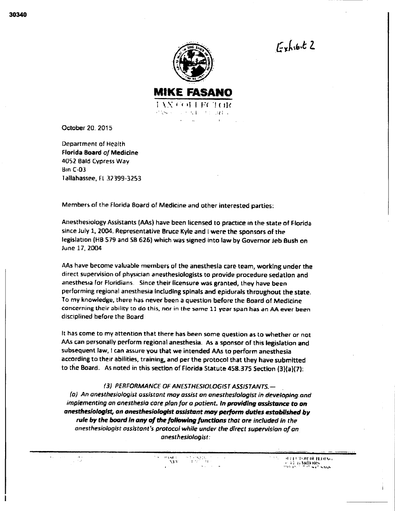$E$ chibit 2



October 20. 2015

Department of Health Florida Board of Medicine 4052 Bald Cypress Way Bin C-03 Tallahassee, Ft 32399-3253

Members of the Florida Board of Medicine and other interested parties:

Anesthesiology Assistants (AAs) have been licensed to practice in the state of Florida since July 1, 2004. Representative Bruce Kyle and I were the sponsors of the legislation (HB 579 and SB 626) which was signed into law by Governor Jeb Bush on June 17, 2004

AAs have become valuable members of the anesthesia care team, working under the direct supervision of physician anesthesiologists to provide procedure sedation and anesthesia for Floridians. Since their licensure was granted, they have been performing regional anesthesia including spinals and epidurals throughout the state. To my knowledge, there has never been a question before the Board of Medicine concerning their ability to do this, nor in the same 11 year span has an AA ever been disciplined before the Board

It has come to my attention that there has been some question as to whether or not AAs can personally perform regional anesthesia. As a sponsor of this legislation and subsequent law, I can assure you that we intended AAs to perform anesthesia according to their abilities, training, and per the protocol that they have submitted to the Board. As noted in this section of Florida Statute 458.375 Section (3)(a)(7):

## (3) PERFORMANCE OF ANESTHESIOLOGIST ASSISTANTS.—

(a) An anesthesiologist assistant may assist an anesthesiologist in developing, and implementing an anesthesia care plan for a patient. *In providing assistance to an anesthesiologist, an anesthesiologist assistant may perform duties established by rule by the board in any of the following functions* that ore included in the anesthesiologist assistant's protocol while under the direct supervision of an anesthesiologist:

> ingst o ÷.  $\mathbf{r}$ A BY

 $\sim$  1 1 1 1 1 1 1 1 1 1 1 1 1 1  $\sim$  $1147.00$   $\mu$   $\mu$   $\mu$   $\mu$   $\mu$